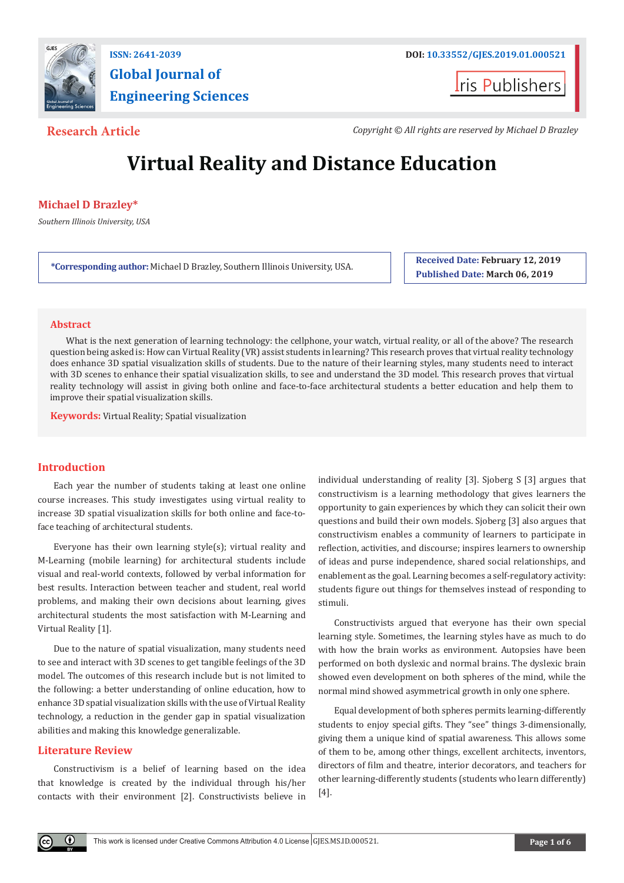

# **Global Journal of Engineering Sciences**

**Iris Publishers** 

**Research Article** *Copyright © All rights are reserved by Michael D Brazley*

## **Virtual Reality and Distance Education**

#### **Michael D Brazley\***

*Southern Illinois University, USA*

**\*Corresponding author:** Michael D Brazley, Southern Illinois University, USA. **Received Date: February 12, 2019** 

**Published Date: March 06, 2019**

#### **Abstract**

What is the next generation of learning technology: the cellphone, your watch, virtual reality, or all of the above? The research question being asked is: How can Virtual Reality (VR) assist students in learning? This research proves that virtual reality technology does enhance 3D spatial visualization skills of students. Due to the nature of their learning styles, many students need to interact with 3D scenes to enhance their spatial visualization skills, to see and understand the 3D model. This research proves that virtual reality technology will assist in giving both online and face-to-face architectural students a better education and help them to improve their spatial visualization skills.

**Keywords:** Virtual Reality; Spatial visualization

#### **Introduction**

Each year the number of students taking at least one online course increases. This study investigates using virtual reality to increase 3D spatial visualization skills for both online and face-toface teaching of architectural students.

Everyone has their own learning style(s); virtual reality and M-Learning (mobile learning) for architectural students include visual and real-world contexts, followed by verbal information for best results. Interaction between teacher and student, real world problems, and making their own decisions about learning, gives architectural students the most satisfaction with M-Learning and Virtual Reality [1].

Due to the nature of spatial visualization, many students need to see and interact with 3D scenes to get tangible feelings of the 3D model. The outcomes of this research include but is not limited to the following: a better understanding of online education, how to enhance 3D spatial visualization skills with the use of Virtual Reality technology, a reduction in the gender gap in spatial visualization abilities and making this knowledge generalizable.

#### **Literature Review**

Œ

Constructivism is a belief of learning based on the idea that knowledge is created by the individual through his/her contacts with their environment [2]. Constructivists believe in

individual understanding of reality [3]. Sjoberg S [3] argues that constructivism is a learning methodology that gives learners the opportunity to gain experiences by which they can solicit their own questions and build their own models. Sjoberg [3] also argues that constructivism enables a community of learners to participate in reflection, activities, and discourse; inspires learners to ownership of ideas and purse independence, shared social relationships, and enablement as the goal. Learning becomes a self-regulatory activity: students figure out things for themselves instead of responding to stimuli.

Constructivists argued that everyone has their own special learning style. Sometimes, the learning styles have as much to do with how the brain works as environment. Autopsies have been performed on both dyslexic and normal brains. The dyslexic brain showed even development on both spheres of the mind, while the normal mind showed asymmetrical growth in only one sphere.

Equal development of both spheres permits learning-differently students to enjoy special gifts. They "see" things 3-dimensionally, giving them a unique kind of spatial awareness. This allows some of them to be, among other things, excellent architects, inventors, directors of film and theatre, interior decorators, and teachers for other learning-differently students (students who learn differently) [4].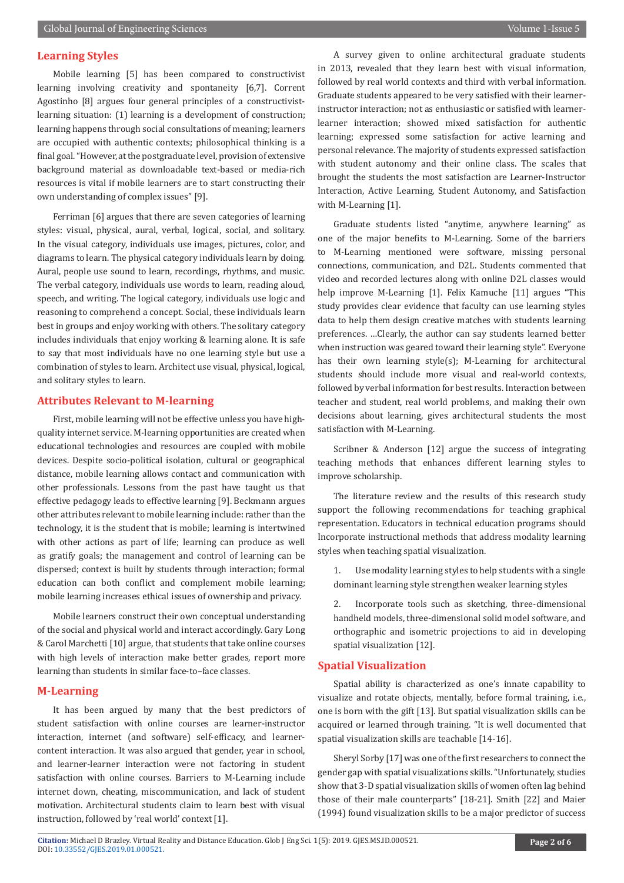#### **Learning Styles**

Mobile learning [5] has been compared to constructivist learning involving creativity and spontaneity [6,7]. Corrent Agostinho [8] argues four general principles of a constructivistlearning situation: (1) learning is a development of construction; learning happens through social consultations of meaning; learners are occupied with authentic contexts; philosophical thinking is a final goal. "However, at the postgraduate level, provision of extensive background material as downloadable text-based or media-rich resources is vital if mobile learners are to start constructing their own understanding of complex issues" [9].

Ferriman [6] argues that there are seven categories of learning styles: visual, physical, aural, verbal, logical, social, and solitary. In the visual category, individuals use images, pictures, color, and diagrams to learn. The physical category individuals learn by doing. Aural, people use sound to learn, recordings, rhythms, and music. The verbal category, individuals use words to learn, reading aloud, speech, and writing. The logical category, individuals use logic and reasoning to comprehend a concept. Social, these individuals learn best in groups and enjoy working with others. The solitary category includes individuals that enjoy working & learning alone. It is safe to say that most individuals have no one learning style but use a combination of styles to learn. Architect use visual, physical, logical, and solitary styles to learn.

#### **Attributes Relevant to M-learning**

First, mobile learning will not be effective unless you have highquality internet service. M-learning opportunities are created when educational technologies and resources are coupled with mobile devices. Despite socio-political isolation, cultural or geographical distance, mobile learning allows contact and communication with other professionals. Lessons from the past have taught us that effective pedagogy leads to effective learning [9]. Beckmann argues other attributes relevant to mobile learning include: rather than the technology, it is the student that is mobile; learning is intertwined with other actions as part of life; learning can produce as well as gratify goals; the management and control of learning can be dispersed; context is built by students through interaction; formal education can both conflict and complement mobile learning; mobile learning increases ethical issues of ownership and privacy.

Mobile learners construct their own conceptual understanding of the social and physical world and interact accordingly. Gary Long & Carol Marchetti [10] argue, that students that take online courses with high levels of interaction make better grades, report more learning than students in similar face-to–face classes.

#### **M-Learning**

It has been argued by many that the best predictors of student satisfaction with online courses are learner-instructor interaction, internet (and software) self-efficacy, and learnercontent interaction. It was also argued that gender, year in school, and learner-learner interaction were not factoring in student satisfaction with online courses. Barriers to M-Learning include internet down, cheating, miscommunication, and lack of student motivation. Architectural students claim to learn best with visual instruction, followed by 'real world' context [1].

A survey given to online architectural graduate students in 2013, revealed that they learn best with visual information, followed by real world contexts and third with verbal information. Graduate students appeared to be very satisfied with their learnerinstructor interaction; not as enthusiastic or satisfied with learnerlearner interaction; showed mixed satisfaction for authentic learning; expressed some satisfaction for active learning and personal relevance. The majority of students expressed satisfaction with student autonomy and their online class. The scales that brought the students the most satisfaction are Learner-Instructor Interaction, Active Learning, Student Autonomy, and Satisfaction with M-Learning [1].

Graduate students listed "anytime, anywhere learning" as one of the major benefits to M-Learning. Some of the barriers to M-Learning mentioned were software, missing personal connections, communication, and D2L. Students commented that video and recorded lectures along with online D2L classes would help improve M-Learning [1]. Felix Kamuche [11] argues "This study provides clear evidence that faculty can use learning styles data to help them design creative matches with students learning preferences. …Clearly, the author can say students learned better when instruction was geared toward their learning style". Everyone has their own learning style(s); M-Learning for architectural students should include more visual and real-world contexts, followed by verbal information for best results. Interaction between teacher and student, real world problems, and making their own decisions about learning, gives architectural students the most satisfaction with M-Learning.

Scribner & Anderson [12] argue the success of integrating teaching methods that enhances different learning styles to improve scholarship.

The literature review and the results of this research study support the following recommendations for teaching graphical representation. Educators in technical education programs should Incorporate instructional methods that address modality learning styles when teaching spatial visualization.

1. Use modality learning styles to help students with a single dominant learning style strengthen weaker learning styles

2. Incorporate tools such as sketching, three-dimensional handheld models, three-dimensional solid model software, and orthographic and isometric projections to aid in developing spatial visualization [12].

#### **Spatial Visualization**

Spatial ability is characterized as one's innate capability to visualize and rotate objects, mentally, before formal training, i.e., one is born with the gift [13]. But spatial visualization skills can be acquired or learned through training. "It is well documented that spatial visualization skills are teachable [14-16].

Sheryl Sorby [17] was one of the first researchers to connect the gender gap with spatial visualizations skills. "Unfortunately, studies show that 3-D spatial visualization skills of women often lag behind those of their male counterparts" [18-21]. Smith [22] and Maier (1994) found visualization skills to be a major predictor of success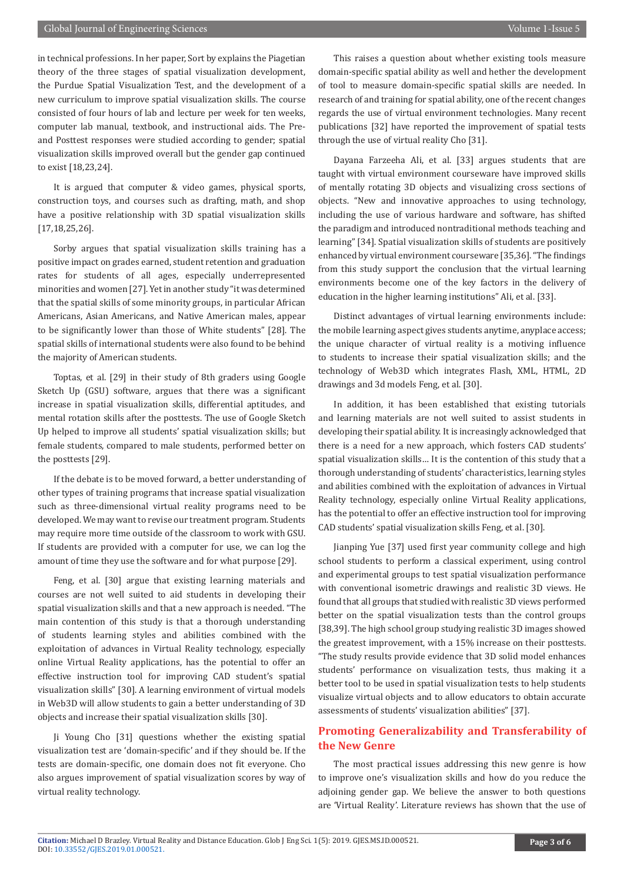in technical professions. In her paper, Sort by explains the Piagetian theory of the three stages of spatial visualization development, the Purdue Spatial Visualization Test, and the development of a new curriculum to improve spatial visualization skills. The course consisted of four hours of lab and lecture per week for ten weeks, computer lab manual, textbook, and instructional aids. The Preand Posttest responses were studied according to gender; spatial visualization skills improved overall but the gender gap continued to exist [18,23,24].

It is argued that computer & video games, physical sports, construction toys, and courses such as drafting, math, and shop have a positive relationship with 3D spatial visualization skills [17,18,25,26].

Sorby argues that spatial visualization skills training has a positive impact on grades earned, student retention and graduation rates for students of all ages, especially underrepresented minorities and women [27]. Yet in another study "it was determined that the spatial skills of some minority groups, in particular African Americans, Asian Americans, and Native American males, appear to be significantly lower than those of White students" [28]. The spatial skills of international students were also found to be behind the majority of American students.

Toptas, et al. [29] in their study of 8th graders using Google Sketch Up (GSU) software, argues that there was a significant increase in spatial visualization skills, differential aptitudes, and mental rotation skills after the posttests. The use of Google Sketch Up helped to improve all students' spatial visualization skills; but female students, compared to male students, performed better on the posttests [29].

If the debate is to be moved forward, a better understanding of other types of training programs that increase spatial visualization such as three-dimensional virtual reality programs need to be developed. We may want to revise our treatment program. Students may require more time outside of the classroom to work with GSU. If students are provided with a computer for use, we can log the amount of time they use the software and for what purpose [29].

Feng, et al. [30] argue that existing learning materials and courses are not well suited to aid students in developing their spatial visualization skills and that a new approach is needed. "The main contention of this study is that a thorough understanding of students learning styles and abilities combined with the exploitation of advances in Virtual Reality technology, especially online Virtual Reality applications, has the potential to offer an effective instruction tool for improving CAD student's spatial visualization skills" [30]. A learning environment of virtual models in Web3D will allow students to gain a better understanding of 3D objects and increase their spatial visualization skills [30].

Ji Young Cho [31] questions whether the existing spatial visualization test are 'domain-specific' and if they should be. If the tests are domain-specific, one domain does not fit everyone. Cho also argues improvement of spatial visualization scores by way of virtual reality technology.

This raises a question about whether existing tools measure domain-specific spatial ability as well and hether the development of tool to measure domain-specific spatial skills are needed. In research of and training for spatial ability, one of the recent changes regards the use of virtual environment technologies. Many recent publications [32] have reported the improvement of spatial tests through the use of virtual reality Cho [31].

Dayana Farzeeha Ali, et al. [33] argues students that are taught with virtual environment courseware have improved skills of mentally rotating 3D objects and visualizing cross sections of objects. "New and innovative approaches to using technology, including the use of various hardware and software, has shifted the paradigm and introduced nontraditional methods teaching and learning" [34]. Spatial visualization skills of students are positively enhanced by virtual environment courseware [35,36]. "The findings from this study support the conclusion that the virtual learning environments become one of the key factors in the delivery of education in the higher learning institutions" Ali, et al. [33].

Distinct advantages of virtual learning environments include: the mobile learning aspect gives students anytime, anyplace access; the unique character of virtual reality is a motiving influence to students to increase their spatial visualization skills; and the technology of Web3D which integrates Flash, XML, HTML, 2D drawings and 3d models Feng, et al. [30].

In addition, it has been established that existing tutorials and learning materials are not well suited to assist students in developing their spatial ability. It is increasingly acknowledged that there is a need for a new approach, which fosters CAD students' spatial visualization skills… It is the contention of this study that a thorough understanding of students' characteristics, learning styles and abilities combined with the exploitation of advances in Virtual Reality technology, especially online Virtual Reality applications, has the potential to offer an effective instruction tool for improving CAD students' spatial visualization skills Feng, et al. [30].

Jianping Yue [37] used first year community college and high school students to perform a classical experiment, using control and experimental groups to test spatial visualization performance with conventional isometric drawings and realistic 3D views. He found that all groups that studied with realistic 3D views performed better on the spatial visualization tests than the control groups [38,39]. The high school group studying realistic 3D images showed the greatest improvement, with a 15% increase on their posttests. "The study results provide evidence that 3D solid model enhances students' performance on visualization tests, thus making it a better tool to be used in spatial visualization tests to help students visualize virtual objects and to allow educators to obtain accurate assessments of students' visualization abilities" [37].

### **Promoting Generalizability and Transferability of the New Genre**

The most practical issues addressing this new genre is how to improve one's visualization skills and how do you reduce the adjoining gender gap. We believe the answer to both questions are 'Virtual Reality'. Literature reviews has shown that the use of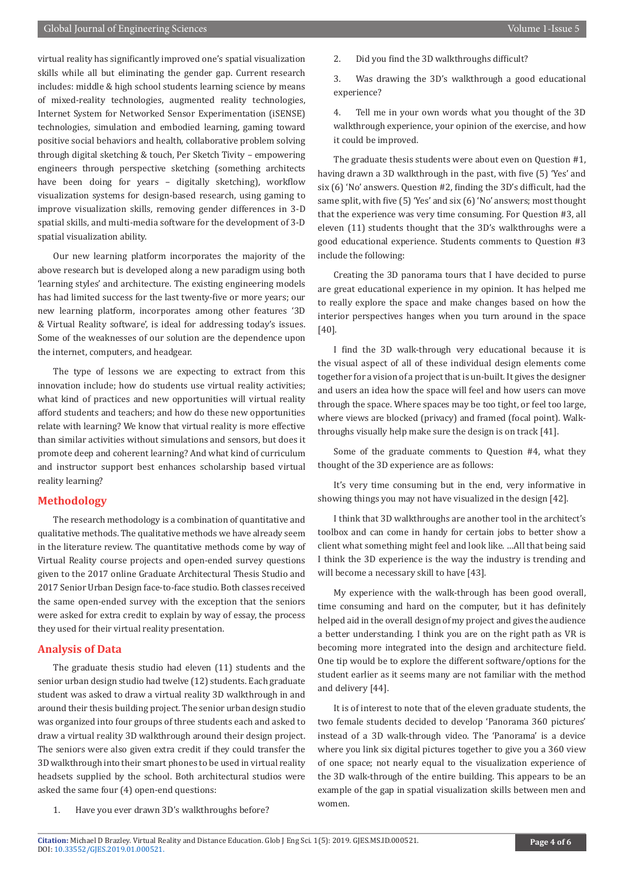virtual reality has significantly improved one's spatial visualization skills while all but eliminating the gender gap. Current research includes: middle & high school students learning science by means of mixed-reality technologies, augmented reality technologies, Internet System for Networked Sensor Experimentation (iSENSE) technologies, simulation and embodied learning, gaming toward positive social behaviors and health, collaborative problem solving through digital sketching & touch, Per Sketch Tivity – empowering engineers through perspective sketching (something architects have been doing for years – digitally sketching), workflow visualization systems for design-based research, using gaming to improve visualization skills, removing gender differences in 3-D spatial skills, and multi-media software for the development of 3-D spatial visualization ability.

Our new learning platform incorporates the majority of the above research but is developed along a new paradigm using both 'learning styles' and architecture. The existing engineering models has had limited success for the last twenty-five or more years; our new learning platform, incorporates among other features '3D & Virtual Reality software', is ideal for addressing today's issues. Some of the weaknesses of our solution are the dependence upon the internet, computers, and headgear.

The type of lessons we are expecting to extract from this innovation include; how do students use virtual reality activities; what kind of practices and new opportunities will virtual reality afford students and teachers; and how do these new opportunities relate with learning? We know that virtual reality is more effective than similar activities without simulations and sensors, but does it promote deep and coherent learning? And what kind of curriculum and instructor support best enhances scholarship based virtual reality learning?

#### **Methodology**

The research methodology is a combination of quantitative and qualitative methods. The qualitative methods we have already seem in the literature review. The quantitative methods come by way of Virtual Reality course projects and open-ended survey questions given to the 2017 online Graduate Architectural Thesis Studio and 2017 Senior Urban Design face-to-face studio. Both classes received the same open-ended survey with the exception that the seniors were asked for extra credit to explain by way of essay, the process they used for their virtual reality presentation.

#### **Analysis of Data**

The graduate thesis studio had eleven (11) students and the senior urban design studio had twelve (12) students. Each graduate student was asked to draw a virtual reality 3D walkthrough in and around their thesis building project. The senior urban design studio was organized into four groups of three students each and asked to draw a virtual reality 3D walkthrough around their design project. The seniors were also given extra credit if they could transfer the 3D walkthrough into their smart phones to be used in virtual reality headsets supplied by the school. Both architectural studios were asked the same four (4) open-end questions:

1. Have you ever drawn 3D's walkthroughs before?

2. Did you find the 3D walkthroughs difficult?

3. Was drawing the 3D's walkthrough a good educational experience?

4. Tell me in your own words what you thought of the 3D walkthrough experience, your opinion of the exercise, and how it could be improved.

The graduate thesis students were about even on Question #1, having drawn a 3D walkthrough in the past, with five (5) 'Yes' and six (6) 'No' answers. Question #2, finding the 3D's difficult, had the same split, with five (5) 'Yes' and six (6) 'No' answers; most thought that the experience was very time consuming. For Question #3, all eleven (11) students thought that the 3D's walkthroughs were a good educational experience. Students comments to Question #3 include the following:

Creating the 3D panorama tours that I have decided to purse are great educational experience in my opinion. It has helped me to really explore the space and make changes based on how the interior perspectives hanges when you turn around in the space [40].

I find the 3D walk-through very educational because it is the visual aspect of all of these individual design elements come together for a vision of a project that is un-built. It gives the designer and users an idea how the space will feel and how users can move through the space. Where spaces may be too tight, or feel too large, where views are blocked (privacy) and framed (focal point). Walkthroughs visually help make sure the design is on track [41].

Some of the graduate comments to Question #4, what they thought of the 3D experience are as follows:

It's very time consuming but in the end, very informative in showing things you may not have visualized in the design [42].

I think that 3D walkthroughs are another tool in the architect's toolbox and can come in handy for certain jobs to better show a client what something might feel and look like. …All that being said I think the 3D experience is the way the industry is trending and will become a necessary skill to have [43].

My experience with the walk-through has been good overall, time consuming and hard on the computer, but it has definitely helped aid in the overall design of my project and gives the audience a better understanding. I think you are on the right path as VR is becoming more integrated into the design and architecture field. One tip would be to explore the different software/options for the student earlier as it seems many are not familiar with the method and delivery [44].

It is of interest to note that of the eleven graduate students, the two female students decided to develop 'Panorama 360 pictures' instead of a 3D walk-through video. The 'Panorama' is a device where you link six digital pictures together to give you a 360 view of one space; not nearly equal to the visualization experience of the 3D walk-through of the entire building. This appears to be an example of the gap in spatial visualization skills between men and women.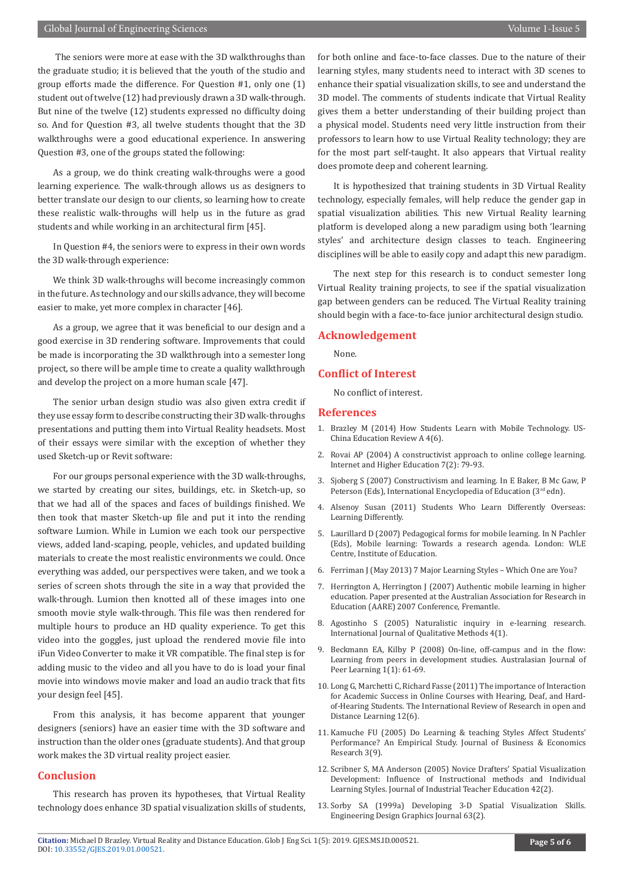The seniors were more at ease with the 3D walkthroughs than the graduate studio; it is believed that the youth of the studio and group efforts made the difference. For Question #1, only one (1) student out of twelve (12) had previously drawn a 3D walk-through. But nine of the twelve (12) students expressed no difficulty doing so. And for Question #3, all twelve students thought that the 3D walkthroughs were a good educational experience. In answering Question #3, one of the groups stated the following:

As a group, we do think creating walk-throughs were a good learning experience. The walk-through allows us as designers to better translate our design to our clients, so learning how to create these realistic walk-throughs will help us in the future as grad students and while working in an architectural firm [45].

In Question #4, the seniors were to express in their own words the 3D walk-through experience:

We think 3D walk-throughs will become increasingly common in the future. As technology and our skills advance, they will become easier to make, yet more complex in character [46].

As a group, we agree that it was beneficial to our design and a good exercise in 3D rendering software. Improvements that could be made is incorporating the 3D walkthrough into a semester long project, so there will be ample time to create a quality walkthrough and develop the project on a more human scale [47].

The senior urban design studio was also given extra credit if they use essay form to describe constructing their 3D walk-throughs presentations and putting them into Virtual Reality headsets. Most of their essays were similar with the exception of whether they used Sketch-up or Revit software:

For our groups personal experience with the 3D walk-throughs, we started by creating our sites, buildings, etc. in Sketch-up, so that we had all of the spaces and faces of buildings finished. We then took that master Sketch-up file and put it into the rending software Lumion. While in Lumion we each took our perspective views, added land-scaping, people, vehicles, and updated building materials to create the most realistic environments we could. Once everything was added, our perspectives were taken, and we took a series of screen shots through the site in a way that provided the walk-through. Lumion then knotted all of these images into one smooth movie style walk-through. This file was then rendered for multiple hours to produce an HD quality experience. To get this video into the goggles, just upload the rendered movie file into iFun Video Converter to make it VR compatible. The final step is for adding music to the video and all you have to do is load your final movie into windows movie maker and load an audio track that fits your design feel [45].

From this analysis, it has become apparent that younger designers (seniors) have an easier time with the 3D software and instruction than the older ones (graduate students). And that group work makes the 3D virtual reality project easier.

#### **Conclusion**

This research has proven its hypotheses, that Virtual Reality technology does enhance 3D spatial visualization skills of students, for both online and face-to-face classes. Due to the nature of their learning styles, many students need to interact with 3D scenes to enhance their spatial visualization skills, to see and understand the 3D model. The comments of students indicate that Virtual Reality gives them a better understanding of their building project than a physical model. Students need very little instruction from their professors to learn how to use Virtual Reality technology; they are for the most part self-taught. It also appears that Virtual reality does promote deep and coherent learning.

It is hypothesized that training students in 3D Virtual Reality technology, especially females, will help reduce the gender gap in spatial visualization abilities. This new Virtual Reality learning platform is developed along a new paradigm using both 'learning styles' and architecture design classes to teach. Engineering disciplines will be able to easily copy and adapt this new paradigm.

The next step for this research is to conduct semester long Virtual Reality training projects, to see if the spatial visualization gap between genders can be reduced. The Virtual Reality training should begin with a face-to-face junior architectural design studio.

#### **Acknowledgement**

None.

#### **Conflict of Interest**

No conflict of interest.

#### **References**

- 1. Brazley M (2014) How Students Learn with Mobile Technology. US-China Education Review A 4(6).
- 2. [Rovai AP \(2004\) A constructivist approach to online college learning.](https://www.sciencedirect.com/science/article/abs/pii/S1096751604000144) [Internet and Higher Education 7\(2\): 79-93.](https://www.sciencedirect.com/science/article/abs/pii/S1096751604000144)
- 3. Sjoberg S (2007) Constructivism and learning. In E Baker, B Mc Gaw, P Peterson (Eds), International Encyclopedia of Education (3rd edn).
- 4. Alsenoy Susan (2011) Students Who Learn Differently Overseas: Learning Differently.
- 5. Laurillard D (2007) Pedagogical forms for mobile learning. In N Pachler (Eds), Mobile learning: Towards a research agenda. London: WLE Centre, Institute of Education.
- 6. [Ferriman J \(May 2013\) 7 Major Learning Styles Which One are You?](http://www.learndash.com/7-major-learning-styles-which-one-is-you/)
- 7. Herrington A, Herrington J (2007) Authentic mobile learning in higher education. Paper presented at the Australian Association for Research in Education (AARE) 2007 Conference, Fremantle.
- 8. Agostinho S (2005) Naturalistic inquiry in e-learning research. International Journal of Qualitative Methods 4(1).
- 9. [Beckmann EA, Kilby P \(2008\) On-line, off-campus and in the flow:](https://ro.uow.edu.au/cgi/viewcontent.cgi?referer=&httpsredir=1&article=1007&context=ajpl) [Learning from peers in development studies. Australasian Journal of](https://ro.uow.edu.au/cgi/viewcontent.cgi?referer=&httpsredir=1&article=1007&context=ajpl) [Peer Learning 1\(1\): 61-69.](https://ro.uow.edu.au/cgi/viewcontent.cgi?referer=&httpsredir=1&article=1007&context=ajpl)
- 10. [Long G, Marchetti C, Richard Fasse \(2011\) The importance of Interaction](http://www.irrodl.org/index.php/irrodl/article/view/1015/1952) [for Academic Success in Online Courses with Hearing, Deaf, and Hard](http://www.irrodl.org/index.php/irrodl/article/view/1015/1952)[of-Hearing Students. The International Review of Research in open and](http://www.irrodl.org/index.php/irrodl/article/view/1015/1952) [Distance Learning 12\(6\).](http://www.irrodl.org/index.php/irrodl/article/view/1015/1952)
- 11. Kamuche FU (2005) Do Learning & teaching Styles Affect Students' Performance? An Empirical Study. Journal of Business & Economics Research 3(9).
- 12. [Scribner S, MA Anderson \(2005\) Novice Drafters' Spatial Visualization](https://scholar.lib.vt.edu/ejournals/JITE/v42n2/scribner.html) [Development: Influence of Instructional methods and Individual](https://scholar.lib.vt.edu/ejournals/JITE/v42n2/scribner.html) [Learning Styles. Journal of Industrial Teacher Education 42\(2\).](https://scholar.lib.vt.edu/ejournals/JITE/v42n2/scribner.html)
- 13. Sorby SA (1999a) Developing 3-D Spatial Visualization Skills. Engineering Design Graphics Journal 63(2).